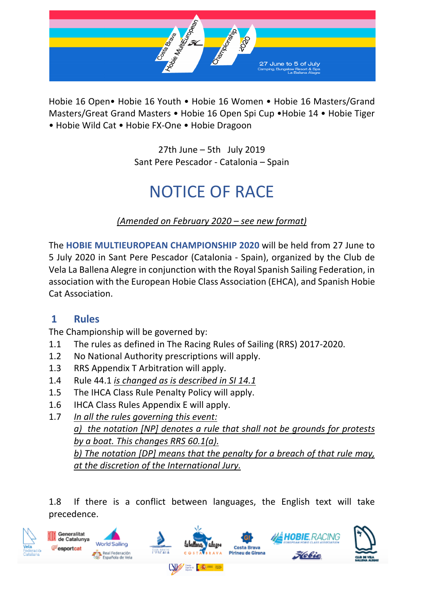

Hobie 16 Open• Hobie 16 Youth • Hobie 16 Women • Hobie 16 Masters/Grand Masters/Great Grand Masters • Hobie 16 Open Spi Cup •Hobie 14 • Hobie Tiger • Hobie Wild Cat • Hobie FX-One • Hobie Dragoon

> 27th June – 5th July 2019 Sant Pere Pescador - Catalonia – Spain

# NOTICE OF RACE

*(Amended on February 2020 – see new format)*

The **HOBIE MULTIEUROPEAN CHAMPIONSHIP 2020** will be held from 27 June to 5 July 2020 in Sant Pere Pescador (Catalonia - Spain), organized by the Club de Vela La Ballena Alegre in conjunction with the Royal Spanish Sailing Federation, in association with the European Hobie Class Association (EHCA), and Spanish Hobie Cat Association.

# **1 Rules**

The Championship will be governed by:

- 1.1 The rules as defined in The Racing Rules of Sailing (RRS) 2017-2020.
- 1.2 No National Authority prescriptions will apply.
- 1.3 RRS Appendix T Arbitration will apply.
- 1.4 Rule 44.1 *is changed as is described in SI 14.1*
- 1.5 The IHCA Class Rule Penalty Policy will apply.
- 1.6 IHCA Class Rules Appendix E will apply.
- 1.7 *In all the rules governing this event: a) the notation [NP] denotes a rule that shall not be grounds for protests by a boat. This changes RRS 60.1(a). b) The notation [DP] means that the penalty for a breach of that rule may, at the discretion of the International Jury.*

1.8 If there is a conflict between languages, the English text will take precedence.

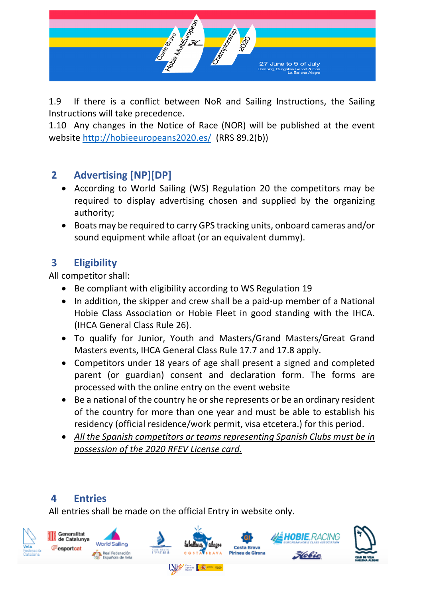

1.9 If there is a conflict between NoR and Sailing Instructions, the Sailing Instructions will take precedence.

1.10 Any changes in the Notice of Race (NOR) will be published at the event website http://hobieeuropeans2020.es/ (RRS 89.2(b))

# **2 Advertising [NP][DP]**

- According to World Sailing (WS) Regulation 20 the competitors may be required to display advertising chosen and supplied by the organizing authority;
- Boats may be required to carry GPS tracking units, onboard cameras and/or sound equipment while afloat (or an equivalent dummy).

# **3 Eligibility**

All competitor shall:

- Be compliant with eligibility according to WS Regulation 19
- In addition, the skipper and crew shall be a paid-up member of a National Hobie Class Association or Hobie Fleet in good standing with the IHCA. (IHCA General Class Rule 26).
- To qualify for Junior, Youth and Masters/Grand Masters/Great Grand Masters events, IHCA General Class Rule 17.7 and 17.8 apply.
- Competitors under 18 years of age shall present a signed and completed parent (or guardian) consent and declaration form. The forms are processed with the online entry on the event website
- Be a national of the country he or she represents or be an ordinary resident of the country for more than one year and must be able to establish his residency (official residence/work permit, visa etcetera.) for this period.
- *All the Spanish competitors or teams representing Spanish Clubs must be in possession of the 2020 RFEV License card.*

# **4 Entries**

All entries shall be made on the official Entry in website only.

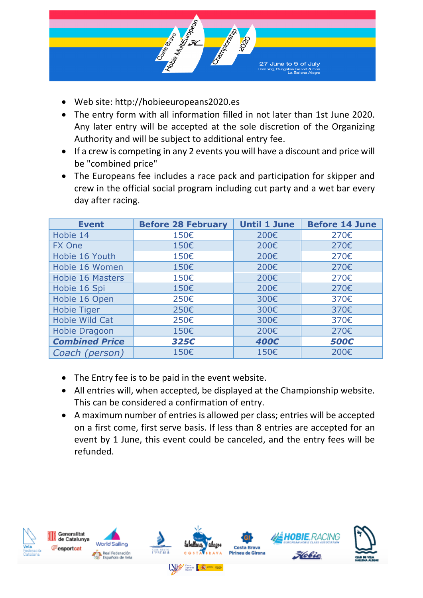

- Web site: http://hobieeuropeans2020.es
- The entry form with all information filled in not later than 1st June 2020. Any later entry will be accepted at the sole discretion of the Organizing Authority and will be subject to additional entry fee.
- If a crew is competing in any 2 events you will have a discount and price will be "combined price"
- The Europeans fee includes a race pack and participation for skipper and crew in the official social program including cut party and a wet bar every day after racing.

| <b>Event</b>            | <b>Before 28 February</b> | <b>Until 1 June</b> | <b>Before 14 June</b> |  |  |
|-------------------------|---------------------------|---------------------|-----------------------|--|--|
| Hobie 14                | 150€                      | 200€                | 270€                  |  |  |
| FX One                  | 150€                      | 200€                | 270€                  |  |  |
| Hobie 16 Youth          | 150€                      | 200€                | 270€                  |  |  |
| Hobie 16 Women          | 150€                      | 200€                | 270€                  |  |  |
| <b>Hobie 16 Masters</b> | 150€                      | 200€                | 270€                  |  |  |
| Hobie 16 Spi            | 150€                      | 200€                | 270€                  |  |  |
| Hobie 16 Open           | 250€                      | 300€                | 370€                  |  |  |
| <b>Hobie Tiger</b>      | 250€                      | 300€                | 370€                  |  |  |
| Hobie Wild Cat          | 250€                      | 300€                | 370€                  |  |  |
| Hobie Dragoon           | 150€                      | 200€                | 270€                  |  |  |
| <b>Combined Price</b>   | 325€                      | 400€                | 500€                  |  |  |
| Coach (person)          | 150€                      | 150€                | 200€                  |  |  |

- The Entry fee is to be paid in the event website.
- All entries will, when accepted, be displayed at the Championship website. This can be considered a confirmation of entry.
- A maximum number of entries is allowed per class; entries will be accepted on a first come, first serve basis. If less than 8 entries are accepted for an event by 1 June, this event could be canceled, and the entry fees will be refunded.

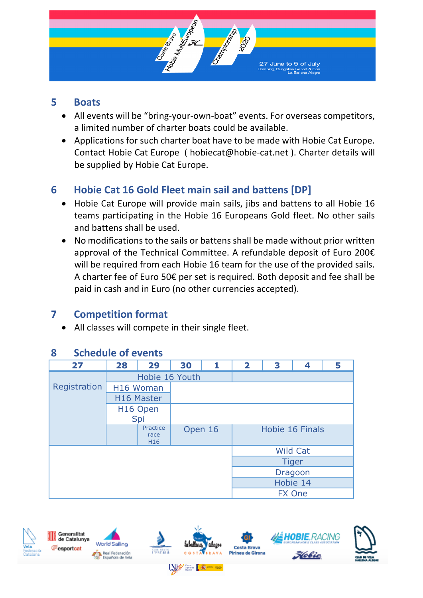

#### **5 Boats**

- All events will be "bring-your-own-boat" events. For overseas competitors, a limited number of charter boats could be available.
- Applications for such charter boat have to be made with Hobie Cat Europe. Contact Hobie Cat Europe ( hobiecat@hobie-cat.net ). Charter details will be supplied by Hobie Cat Europe.

# **6 Hobie Cat 16 Gold Fleet main sail and battens [DP]**

- Hobie Cat Europe will provide main sails, jibs and battens to all Hobie 16 teams participating in the Hobie 16 Europeans Gold fleet. No other sails and battens shall be used.
- No modifications to the sails or battens shall be made without prior written approval of the Technical Committee. A refundable deposit of Euro 200€ will be required from each Hobie 16 team for the use of the provided sails. A charter fee of Euro 50€ per set is required. Both deposit and fee shall be paid in cash and in Euro (no other currencies accepted).

# **7 Competition format**

• All classes will compete in their single fleet.

#### **8 Schedule of events**

| 27           | 28             | 29                                  | 30      | 1            | $\overline{\mathbf{2}}$ | 3               | 4 | 5 |  |
|--------------|----------------|-------------------------------------|---------|--------------|-------------------------|-----------------|---|---|--|
|              | Hobie 16 Youth |                                     |         |              |                         |                 |   |   |  |
| Registration | H16 Woman      |                                     |         |              |                         |                 |   |   |  |
|              | H16 Master     |                                     |         |              |                         |                 |   |   |  |
|              |                | H16 Open                            |         |              |                         |                 |   |   |  |
|              | Spi            |                                     |         |              |                         |                 |   |   |  |
|              |                | Practice<br>race<br>H <sub>16</sub> | Open 16 |              |                         | Hobie 16 Finals |   |   |  |
|              |                |                                     |         |              | <b>Wild Cat</b>         |                 |   |   |  |
|              |                |                                     |         | <b>Tiger</b> |                         |                 |   |   |  |
|              |                |                                     |         | Dragoon      |                         |                 |   |   |  |
|              |                |                                     |         | Hobie 14     |                         |                 |   |   |  |
|              |                |                                     |         |              | <b>FX One</b>           |                 |   |   |  |

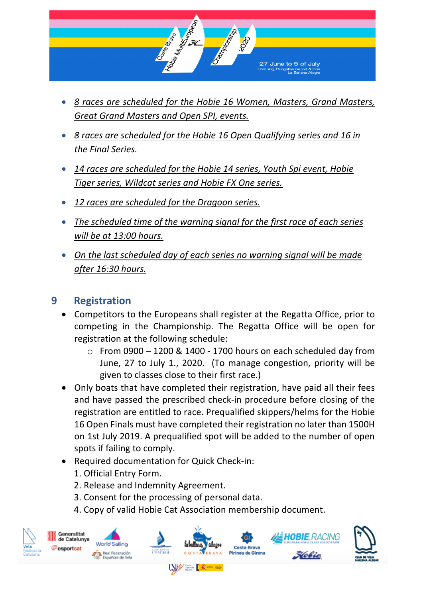

- *8 races are scheduled for the Hobie 16 Women, Masters, Grand Masters, Great Grand Masters and Open SPI, events.*
- *8 races are scheduled for the Hobie 16 Open Qualifying series and 16 in the Final Series.*
- *14 races are scheduled for the Hobie 14 series, Youth Spi event, Hobie Tiger series, Wildcat series and Hobie FX One series.*
- *12 races are scheduled for the Dragoon series.*
- *The scheduled time of the warning signal for the first race of each series will be at 13:00 hours.*
- *On the last scheduled day of each series no warning signal will be made after 16:30 hours.*

# **9 Registration**

- Competitors to the Europeans shall register at the Regatta Office, prior to competing in the Championship. The Regatta Office will be open for registration at the following schedule:
	- $\circ$  From 0900 1200 & 1400 1700 hours on each scheduled day from June, 27 to July 1., 2020. (To manage congestion, priority will be given to classes close to their first race.)
- Only boats that have completed their registration, have paid all their fees and have passed the prescribed check-in procedure before closing of the registration are entitled to race. Prequalified skippers/helms for the Hobie 16 Open Finals must have completed their registration no later than 1500H on 1st July 2019. A prequalified spot will be added to the number of open spots if failing to comply.
- Required documentation for Quick Check-in:
	- 1. Official Entry Form.
	- 2. Release and Indemnity Agreement.
	- 3. Consent for the processing of personal data.
	- 4. Copy of valid Hobie Cat Association membership document.

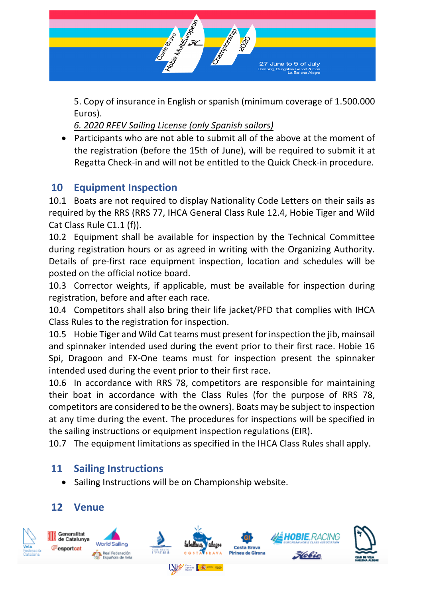

5. Copy of insurance in English or spanish (minimum coverage of 1.500.000 Euros).

*6. 2020 RFEV Sailing License (only Spanish sailors)*

• Participants who are not able to submit all of the above at the moment of the registration (before the 15th of June), will be required to submit it at Regatta Check-in and will not be entitled to the Quick Check-in procedure.

# **10 Equipment Inspection**

10.1 Boats are not required to display Nationality Code Letters on their sails as required by the RRS (RRS 77, IHCA General Class Rule 12.4, Hobie Tiger and Wild Cat Class Rule C1.1 (f)).

10.2 Equipment shall be available for inspection by the Technical Committee during registration hours or as agreed in writing with the Organizing Authority. Details of pre-first race equipment inspection, location and schedules will be posted on the official notice board.

10.3 Corrector weights, if applicable, must be available for inspection during registration, before and after each race.

10.4 Competitors shall also bring their life jacket/PFD that complies with IHCA Class Rules to the registration for inspection.

10.5 Hobie Tiger and Wild Cat teams must present for inspection the jib, mainsail and spinnaker intended used during the event prior to their first race. Hobie 16 Spi, Dragoon and FX-One teams must for inspection present the spinnaker intended used during the event prior to their first race.

10.6 In accordance with RRS 78, competitors are responsible for maintaining their boat in accordance with the Class Rules (for the purpose of RRS 78, competitors are considered to be the owners). Boats may be subject to inspection at any time during the event. The procedures for inspections will be specified in the sailing instructions or equipment inspection regulations (EIR).

10.7 The equipment limitations as specified in the IHCA Class Rules shall apply.

# **11 Sailing Instructions**

• Sailing Instructions will be on Championship website.

# **12 Venue**

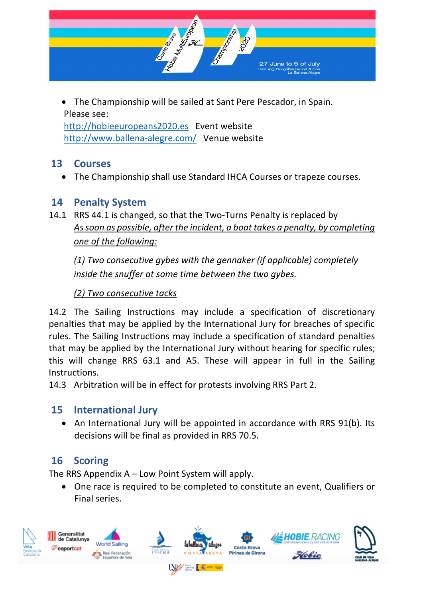

• The Championship will be sailed at Sant Pere Pescador, in Spain. Please see: http://hobieeuropeans2020.es Event website

http://www.ballena-alegre.com/ Venue website

### **13 Courses**

• The Championship shall use Standard IHCA Courses or trapeze courses.

#### **14 Penalty System**

14.1 RRS 44.1 is changed, so that the Two-Turns Penalty is replaced by *As soon as possible, after the incident, a boat takes a penalty, by completing one of the following:*

*(1) Two consecutive gybes with the gennaker (if applicable) completely inside the snuffer at some time between the two gybes.*

*(2) Two consecutive tacks*

14.2 The Sailing Instructions may include a specification of discretionary penalties that may be applied by the International Jury for breaches of specific rules. The Sailing Instructions may include a specification of standard penalties that may be applied by the International Jury without hearing for specific rules; this will change RRS 63.1 and A5. These will appear in full in the Sailing Instructions.

14.3 Arbitration will be in effect for protests involving RRS Part 2.

# **15 International Jury**

• An International Jury will be appointed in accordance with RRS 91(b). Its decisions will be final as provided in RRS 70.5.

# **16 Scoring**

The RRS Appendix A – Low Point System will apply.

• One race is required to be completed to constitute an event, Qualifiers or Final series.

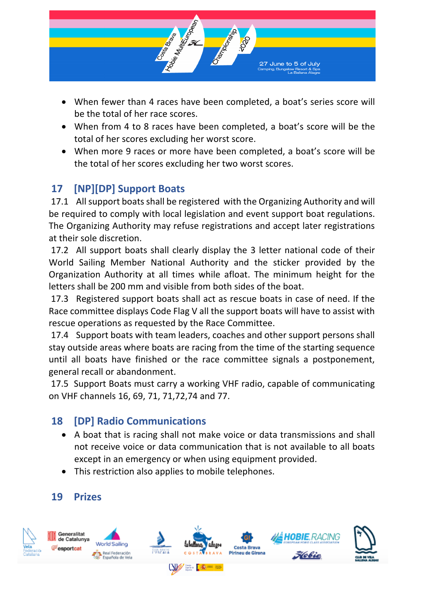

- When fewer than 4 races have been completed, a boat's series score will be the total of her race scores.
- When from 4 to 8 races have been completed, a boat's score will be the total of her scores excluding her worst score.
- When more 9 races or more have been completed, a boat's score will be the total of her scores excluding her two worst scores.

# **17 [NP][DP] Support Boats**

17.1 All support boats shall be registered with the Organizing Authority and will be required to comply with local legislation and event support boat regulations. The Organizing Authority may refuse registrations and accept later registrations at their sole discretion.

17.2 All support boats shall clearly display the 3 letter national code of their World Sailing Member National Authority and the sticker provided by the Organization Authority at all times while afloat. The minimum height for the letters shall be 200 mm and visible from both sides of the boat.

17.3 Registered support boats shall act as rescue boats in case of need. If the Race committee displays Code Flag V all the support boats will have to assist with rescue operations as requested by the Race Committee.

17.4 Support boats with team leaders, coaches and other support persons shall stay outside areas where boats are racing from the time of the starting sequence until all boats have finished or the race committee signals a postponement, general recall or abandonment.

17.5 Support Boats must carry a working VHF radio, capable of communicating on VHF channels 16, 69, 71, 71,72,74 and 77.

# **18 [DP] Radio Communications**

- A boat that is racing shall not make voice or data transmissions and shall not receive voice or data communication that is not available to all boats except in an emergency or when using equipment provided.
- This restriction also applies to mobile telephones.

# **19 Prizes**

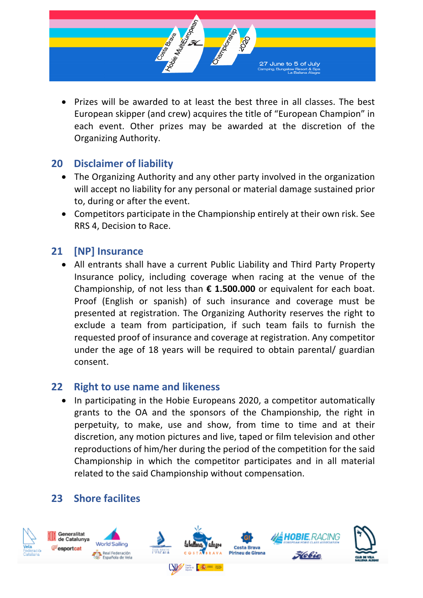

• Prizes will be awarded to at least the best three in all classes. The best European skipper (and crew) acquires the title of "European Champion" in each event. Other prizes may be awarded at the discretion of the Organizing Authority.

#### **20 Disclaimer of liability**

- The Organizing Authority and any other party involved in the organization will accept no liability for any personal or material damage sustained prior to, during or after the event.
- Competitors participate in the Championship entirely at their own risk. See RRS 4, Decision to Race.

# **21 [NP] Insurance**

• All entrants shall have a current Public Liability and Third Party Property Insurance policy, including coverage when racing at the venue of the Championship, of not less than **€ 1.500.000** or equivalent for each boat. Proof (English or spanish) of such insurance and coverage must be presented at registration. The Organizing Authority reserves the right to exclude a team from participation, if such team fails to furnish the requested proof of insurance and coverage at registration. Any competitor under the age of 18 years will be required to obtain parental/ guardian consent.

#### **22 Right to use name and likeness**

• In participating in the Hobie Europeans 2020, a competitor automatically grants to the OA and the sponsors of the Championship, the right in perpetuity, to make, use and show, from time to time and at their discretion, any motion pictures and live, taped or film television and other reproductions of him/her during the period of the competition for the said Championship in which the competitor participates and in all material related to the said Championship without compensation.

# **23 Shore facilites**